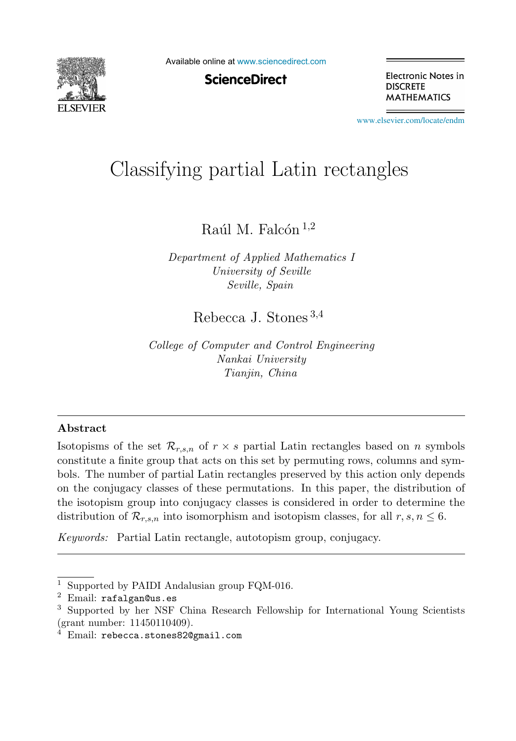

Available online at [www.sciencedirect.com](http://www.sciencedirect.com)

**ScienceDirect** 

Electronic Notes in **DISCRETE MATHEMATICS** 

[www.elsevier.com/locate/endm](http://www.elsevier.com/locate/endm)

# $\sqrt{91}$

Raúl M. Falcón  $^{1,2}$ 

*Department of Applied Mathematics I University of Seville Seville, Spain*

Rebecca J. Stones <sup>3</sup>,<sup>4</sup>

*College of Computer and Control Engineering Nankai University Tianjin, China*

#### **Abstract**

Isotopisms of the set  $\mathcal{R}_{r,s,n}$  of  $r \times s$  partial Latin rectangles based on n symbols constitute a finite group that acts on this set by permuting rows, columns and symbols. The number of partial Latin rectangles preserved by this action only depends on the conjugacy classes of these permutations. In this paper, the distribution of the isotopism group into conjugacy classes is considered in order to determine the distribution of  $\mathcal{R}_{r,s,n}$  into isomorphism and isotopism classes, for all  $r, s, n \leq 6$ .

*Keywords:* Partial Latin rectangle, autotopism group, conjugacy.

<sup>1</sup> Supported by PAIDI Andalusian group FQM-016.

<sup>2</sup> Email: rafalgan@us.es

<sup>3</sup> Supported by her NSF China Research Fellowship for International Young Scientists (grant number: 11450110409).

 $4$  Email: rebecca.stones82@gmail.com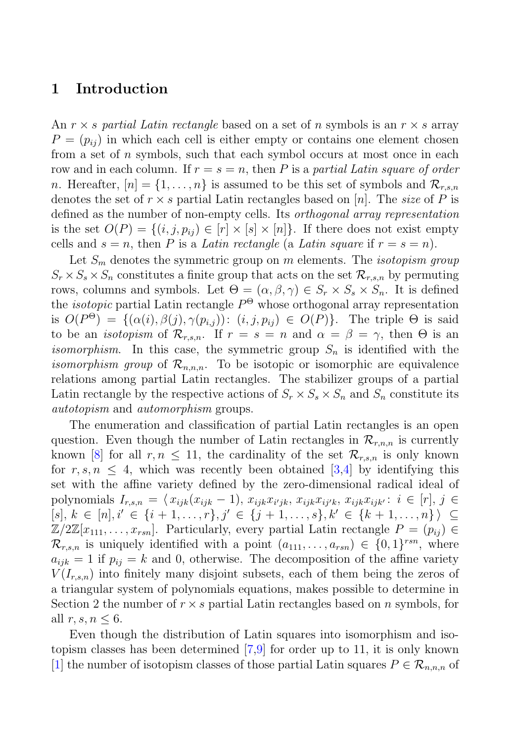# **1 Introduction**

An  $r \times s$  partial Latin rectangle based on a set of n symbols is an  $r \times s$  array  $P = (p_{ij})$  in which each cell is either empty or contains one element chosen from a set of n symbols, such that each symbol occurs at most once in each row and in each column. If  $r = s = n$ , then P is a partial Latin square of order n. Hereafter,  $[n] = \{1, \ldots, n\}$  is assumed to be this set of symbols and  $\mathcal{R}_{r,s,n}$ denotes the set of  $r \times s$  partial Latin rectangles based on [n]. The size of P is defined as the number of non-empty cells. Its orthogonal array representation is the set  $O(P) = \{(i, j, p_{ij}) \in [r] \times [s] \times [n]\}.$  If there does not exist empty cells and  $s = n$ , then P is a Latin rectangle (a Latin square if  $r = s = n$ ).

Let  $S_m$  denotes the symmetric group on m elements. The *isotopism group*  $S_r \times S_s \times S_n$  constitutes a finite group that acts on the set  $\mathcal{R}_{r,s,n}$  by permuting rows, columns and symbols. Let  $\Theta = (\alpha, \beta, \gamma) \in S_r \times S_s \times S_n$ . It is defined the *isotopic* partial Latin rectangle  $P^{\Theta}$  whose orthogonal array representation is  $O(P^{\Theta}) = \{(\alpha(i), \beta(j), \gamma(p_{i,j})) : (i, j, p_{ij}) \in O(P)\}.$  The triple  $\Theta$  is said to be an *isotopism* of  $\mathcal{R}_{r,s,n}$ . If  $r = s = n$  and  $\alpha = \beta = \gamma$ , then  $\Theta$  is an *isomorphism*. In this case, the symmetric group  $S_n$  is identified with the *isomorphism group* of  $\mathcal{R}_{n,n,n}$ . To be isotopic or isomorphic are equivalence relations among partial Latin rectangles. The stabilizer groups of a partial Latin rectangle by the respective actions of  $S_r \times S_s \times S_n$  and  $S_n$  constitute its autotopism and automorphism groups.

The enumeration and classification of partial Latin rectangles is an open question. Even though the number of Latin rectangles in  $\mathcal{R}_{r,n,n}$  is currently known [8] for all  $r, n \leq 11$ , the cardinality of the set  $\mathcal{R}_{r,s,n}$  is only known for  $r, s, n \leq 4$ , which was recently been obtained [3,4] by identifying this set with the affine variety defined by the zero-dimensional radical ideal of polynomials  $I_{r,s,n} = \langle x_{ijk}(x_{ijk}-1), x_{ijk}x_{i'jk}, x_{ijk}x_{ij'k}, x_{ijk}x_{ijk'} : i \in [r], j \in$  $[s], k \in [n], i' \in \{i+1, \ldots, r\}, j' \in \{j+1, \ldots, s\}, k' \in \{k+1, \ldots, n\} \rangle \subseteq$  $\mathbb{Z}/2\mathbb{Z}[x_{11},\ldots,x_{rsn}]$ . Particularly, every partial Latin rectangle  $P=(p_{ij})\in$  $\mathcal{R}_{r,s,n}$  is uniquely identified with a point  $(a_{111},\ldots,a_{rsn}) \in \{0,1\}^{rsn}$ , where  $a_{ijk} = 1$  if  $p_{ij} = k$  and 0, otherwise. The decomposition of the affine variety  $V(I_{r,s,n})$  into finitely many disjoint subsets, each of them being the zeros of a triangular system of polynomials equations, makes possible to determine in Section 2 the number of  $r \times s$  partial Latin rectangles based on n symbols, for all  $r, s, n \leq 6$ .

Even though the distribution of Latin squares into isomorphism and isotopism classes has been determined [7,9] for order up to 11, it is only known [1] the number of isotopism classes of those partial Latin squares  $P \in \mathcal{R}_{n,n,n}$  of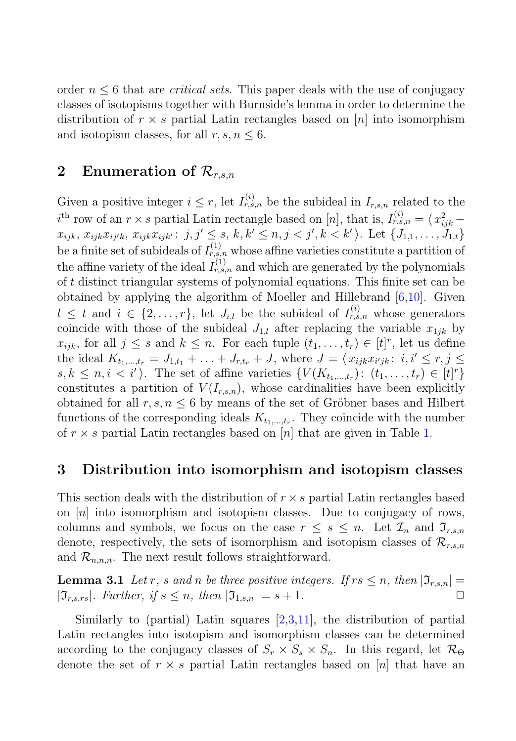order  $n \leq 6$  that are *critical sets*. This paper deals with the use of conjugacy classes of isotopisms together with Burnside's lemma in order to determine the distribution of  $r \times s$  partial Latin rectangles based on [n] into isomorphism and isotopism classes, for all  $r, s, n \leq 6$ .

# **2** Enumeration of  $\mathcal{R}_{r,s,n}$

Given a positive integer  $i \leq r$ , let  $I_{r,s,n}^{(i)}$  be the subideal in  $I_{r,s,n}$  related to the  $i^{\text{th}}$  row of an  $r \times s$  partial Latin rectangle based on [n], that is,  $I_{r,s,n}^{(i)} = \langle x_{ijk}^2 - x_{j}^2 \rangle$  $x_{ijk}, x_{ijk}x_{ij'k}, x_{ijk}x_{ijk'}: j, j' \leq s, k, k' \leq n, j < j', k < k' \rangle$ . Let  $\{J_{1,1}, \ldots, J_{1,t}\}$ be a finite set of subideals of  $I_{r,s,n}^{(1)}$  whose affine varieties constitute a partition of the affine variety of the ideal  $I_{r,s,n}^{(1)}$  and which are generated by the polynomials of t distinct triangular systems of polynomial equations. This finite set can be obtained by applying the algorithm of Moeller and Hillebrand [6,10]. Given  $l \leq t$  and  $i \in \{2,\ldots,r\}$ , let  $J_{i,l}$  be the subideal of  $I_{r,s,n}^{(i)}$  whose generators coincide with those of the subideal  $J_{1,l}$  after replacing the variable  $x_{1jk}$  by  $x_{ijk}$ , for all  $j \leq s$  and  $k \leq n$ . For each tuple  $(t_1, \ldots, t_r) \in [t]^r$ , let us define the ideal  $K_{t_1,...,t_r} = J_{1,t_1} + ... + J_{r,t_r} + J$ , where  $J = \langle x_{ijk} x_{i'jk}: i, i' \leq r, j \leq r \rangle$  $s, k \leq n, i \leq i'$ . The set of affine varieties  $\{V(K_{t_1,\ldots,t_r}) : (t_1,\ldots,t_r) \in [t]^r\}$ constitutes a partition of  $V(I_{r,s,n})$ , whose cardinalities have been explicitly obtained for all  $r, s, n \leq 6$  by means of the set of Gröbner bases and Hilbert functions of the corresponding ideals  $K_{t_1,\dots,t_r}$ . They coincide with the number of  $r \times s$  partial Latin rectangles based on [n] that are given in Table 1.

## **3 Distribution into isomorphism and isotopism classes**

This section deals with the distribution of  $r \times s$  partial Latin rectangles based on  $[n]$  into isomorphism and isotopism classes. Due to conjugacy of rows, columns and symbols, we focus on the case  $r \leq s \leq n$ . Let  $\mathcal{I}_n$  and  $\mathcal{I}_{r,s,n}$ denote, respectively, the sets of isomorphism and isotopism classes of  $\mathcal{R}_{r,s,n}$ and  $\mathcal{R}_{n,n,n}$ . The next result follows straightforward.

**Lemma 3.1** Let r, s and n be three positive integers. If  $rs \leq n$ , then  $|\mathfrak{I}_{r,s,n}| =$  $|\mathfrak{I}_{r,s,rs}|$ . Further, if  $s \leq n$ , then  $|\mathfrak{I}_{1,s,n}| = s+1$ .

Similarly to (partial) Latin squares  $[2,3,11]$ , the distribution of partial Latin rectangles into isotopism and isomorphism classes can be determined according to the conjugacy classes of  $S_r \times S_s \times S_n$ . In this regard, let  $\mathcal{R}_{\Theta}$ denote the set of  $r \times s$  partial Latin rectangles based on [n] that have an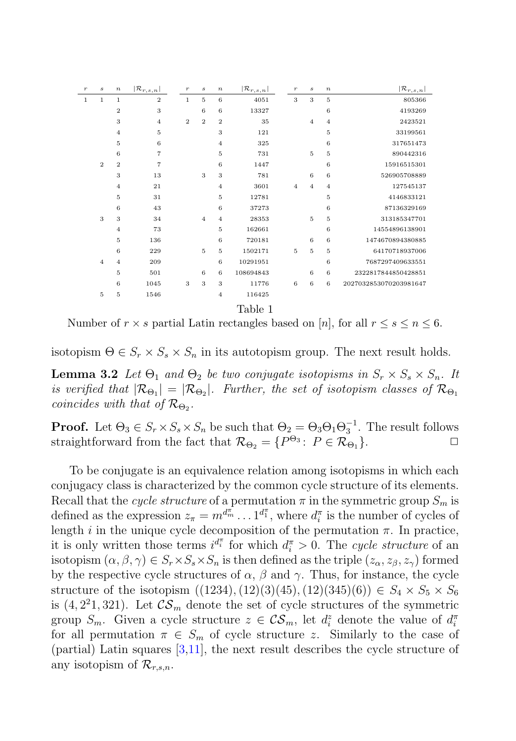| $\boldsymbol{r}$ | $\boldsymbol{s}$ | $\boldsymbol{n}$ | $ \mathcal{R}_{r,s,n} $ | $\boldsymbol{r}$ | $\boldsymbol{s}$ | $\boldsymbol{n}$ | $ {\cal R}_{r,s,n} $ | $\,r\,$          | $\boldsymbol{s}$ | $\boldsymbol{n}$ | $ {\cal R}_{r,s,n} $   |
|------------------|------------------|------------------|-------------------------|------------------|------------------|------------------|----------------------|------------------|------------------|------------------|------------------------|
| $\,1$            | $\mathbf{1}$     | 1                | $\overline{2}$          | $\mathbf{1}$     | 5                | 6                | 4051                 | 3                | 3                | 5                | 805366                 |
|                  |                  | $\overline{2}$   | 3                       |                  | 6                | 6                | 13327                |                  |                  | 6                | 4193269                |
|                  |                  | 3                | $\overline{4}$          | $\overline{2}$   | $\overline{2}$   | $\overline{2}$   | 35                   |                  | $\overline{4}$   | $\overline{4}$   | 2423521                |
|                  |                  | $\overline{4}$   | 5                       |                  |                  | 3                | 121                  |                  |                  | 5                | 33199561               |
|                  |                  | 5                | $\boldsymbol{6}$        |                  |                  | $\overline{4}$   | 325                  |                  |                  | 6                | 317651473              |
|                  |                  | 6                | $\overline{7}$          |                  |                  | 5                | 731                  |                  | 5                | 5                | 890442316              |
|                  | $\overline{2}$   | $\overline{2}$   | $\overline{7}$          |                  |                  | 6                | 1447                 |                  |                  | 6                | 15916515301            |
|                  |                  | 3                | 13                      |                  | 3                | 3                | 781                  |                  | 6                | 6                | 526905708889           |
|                  |                  | $\overline{4}$   | 21                      |                  |                  | 4                | 3601                 | $\overline{4}$   | $\overline{4}$   | $\overline{4}$   | 127545137              |
|                  |                  | 5                | 31                      |                  |                  | 5                | 12781                |                  |                  | 5                | 4146833121             |
|                  |                  | 6                | 43                      |                  |                  | 6                | 37273                |                  |                  | 6                | 87136329169            |
|                  | 3                | 3                | 34                      |                  | $\overline{4}$   | $\overline{4}$   | 28353                |                  | 5                | 5                | 313185347701           |
|                  |                  | $\overline{4}$   | 73                      |                  |                  | 5                | 162661               |                  |                  | 6                | 14554896138901         |
|                  |                  | 5                | 136                     |                  |                  | 6                | 720181               |                  | 6                | 6                | 1474670894380885       |
|                  |                  | 6                | 229                     |                  | 5                | 5                | 1502171              | 5                | 5                | 5                | 64170718937006         |
|                  | $\overline{4}$   | $\overline{4}$   | 209                     |                  |                  | 6                | 10291951             |                  |                  | $\sqrt{6}$       | 7687297409633551       |
|                  |                  | 5                | 501                     |                  | 6                | 6                | 108694843            |                  | $\,$ 6           | 6                | 2322817844850428851    |
|                  |                  | 6                | 1045                    | $\,$ 3 $\,$      | 3                | 3                | 11776                | $\boldsymbol{6}$ | $\boldsymbol{6}$ | 6                | 2027032853070203981647 |
|                  | 5                | 5                | 1546                    |                  |                  | $\overline{4}$   | 116425               |                  |                  |                  |                        |
|                  |                  |                  |                         |                  |                  |                  | Table 1              |                  |                  |                  |                        |

Number of  $r \times s$  partial Latin rectangles based on [n], for all  $r \leq s \leq n \leq 6$ .

isotopism  $\Theta \in S_r \times S_s \times S_n$  in its autotopism group. The next result holds.

**Lemma 3.2** Let  $\Theta_1$  and  $\Theta_2$  be two conjugate isotopisms in  $S_r \times S_s \times S_n$ . It is verified that  $|\mathcal{R}_{\Theta_1}| = |\mathcal{R}_{\Theta_2}|$ . Further, the set of isotopism classes of  $\mathcal{R}_{\Theta_1}$ coincides with that of  $\mathcal{R}_{\Theta_2}$ .

**Proof.** Let  $\Theta_3 \in S_r \times S_s \times S_n$  be such that  $\Theta_2 = \Theta_3 \Theta_1 \Theta_3^{-1}$ . The result follows straightforward from the fact that  $\mathcal{R}_{\Theta_2} = \{P^{\Theta_3} : P \in \mathcal{R}_{\Theta_1}\}.$ 

To be conjugate is an equivalence relation among isotopisms in which each conjugacy class is characterized by the common cycle structure of its elements. Recall that the cycle structure of a permutation  $\pi$  in the symmetric group  $S_m$  is defined as the expression  $z_{\pi} = m^{d_{m}^{\pi}} \dots 1^{d_{1}^{\pi}}$ , where  $d_{i}^{\pi}$  is the number of cycles of length i in the unique cycle decomposition of the permutation  $\pi$ . In practice, it is only written those terms  $i^{d_i^{\pi}}$  for which  $d_i^{\pi} > 0$ . The cycle structure of an isotopism  $(\alpha, \beta, \gamma) \in S_r \times S_s \times S_n$  is then defined as the triple  $(z_\alpha, z_\beta, z_\gamma)$  formed by the respective cycle structures of  $\alpha$ ,  $\beta$  and  $\gamma$ . Thus, for instance, the cycle structure of the isotopism  $((1234),(12)(3)(45),(12)(345)(6)) \in S_4 \times S_5 \times S_6$ is  $(4, 2^21, 321)$ . Let  $\mathcal{CS}_m$  denote the set of cycle structures of the symmetric group  $S_m$ . Given a cycle structure  $z \in \mathcal{CS}_m$ , let  $d_i^z$  denote the value of  $d_i^{\pi}$ for all permutation  $\pi \in S_m$  of cycle structure z. Similarly to the case of (partial) Latin squares [3,11], the next result describes the cycle structure of any isotopism of  $\mathcal{R}_{r,s,n}$ .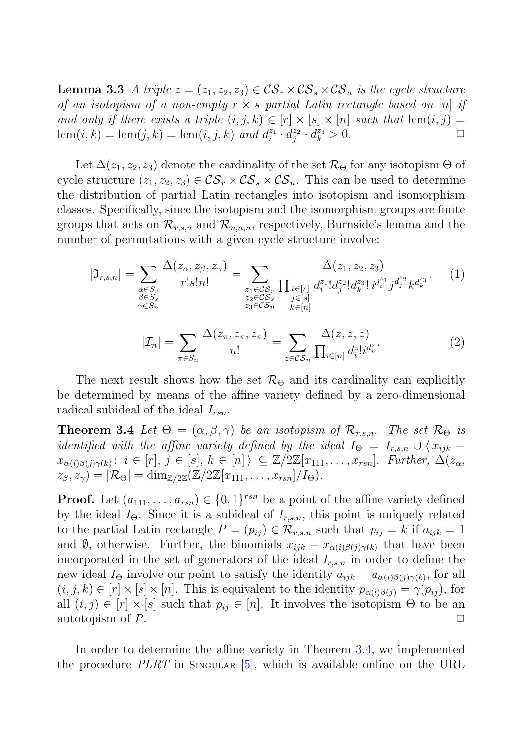**Lemma 3.3** A triple  $z = (z_1, z_2, z_3) \in \mathcal{CS}_r \times \mathcal{CS}_s \times \mathcal{CS}_n$  is the cycle structure of an isotopism of a non-empty  $r \times s$  partial Latin rectangle based on [n] if and only if there exists a triple  $(i, j, k) \in [r] \times [s] \times [n]$  such that  $\text{lcm}(i, j) = \text{lcm}(i, k) = \text{lcm}(i, j, k)$  and  $d^{z_1} \cdot d^{z_2} \cdot d^{z_3} > 0$  $\operatorname{lcm}(i,k) = \operatorname{lcm}(j,k) = \operatorname{lcm}(i,j,k)$  and  $d_i^{z_1} \cdot d_j^{z_2} \cdot d_k^{z_3} > 0$ .

Let  $\Delta(z_1, z_2, z_3)$  denote the cardinality of the set  $\mathcal{R}_{\Theta}$  for any isotopism  $\Theta$  of cycle structure  $(z_1, z_2, z_3) \in \mathcal{CS}_r \times \mathcal{CS}_s \times \mathcal{CS}_n$ . This can be used to determine the distribution of partial Latin rectangles into isotopism and isomorphism classes. Specifically, since the isotopism and the isomorphism groups are finite groups that acts on  $\mathcal{R}_{r,s,n}$  and  $\mathcal{R}_{n,n,n}$ , respectively, Burnside's lemma and the number of permutations with a given cycle structure involve:

$$
|\mathfrak{I}_{r,s,n}| = \sum_{\substack{\alpha \in S_r \\ \beta \in S_s \\ \gamma \in S_n}} \frac{\Delta(z_\alpha, z_\beta, z_\gamma)}{r! s! n!} = \sum_{\substack{z_1 \in \mathcal{C}S_r \\ z_2 \in \mathcal{C}S_s \\ z_3 \in \mathcal{C}S_n}} \frac{\Delta(z_1, z_2, z_3)}{\prod_{\substack{i \in [r] \\ j \in [s] \\ k \in [n]}} d_i^{z_1} d_j^{z_2} d_i^{z_3} d_i^{z_4} j^{d_j^{z_2}} k^{d_i^{z_3}}}
$$
(1)  

$$
|\mathcal{I}_n| = \sum_{\pi \in S_n} \frac{\Delta(z_\pi, z_\pi, z_\pi)}{n!} = \sum_{z \in \mathcal{C}S_n} \frac{\Delta(z, z, z)}{\prod_{i \in [n]} d_i^{z_i} d_i^{z_i}}.
$$
(2)

The next result shows how the set  $\mathcal{R}_{\Theta}$  and its cardinality can explicitly be determined by means of the affine variety defined by a zero-dimensional radical subideal of the ideal  $I_{rsn}$ .

**Theorem 3.4** Let  $\Theta = (\alpha, \beta, \gamma)$  be an isotopism of  $\mathcal{R}_{r,s,n}$ . The set  $\mathcal{R}_{\Theta}$  is identified with the affine variety defined by the ideal  $I_{\Theta} = I_{r,s,n} \cup \langle x_{ijk}$  $x_{\alpha(i)\beta(j)\gamma(k)}$ :  $i \in [r], j \in [s], k \in [n]$   $\subseteq \mathbb{Z}/2\mathbb{Z}[x_{111},...,x_{rsn}]$ . Further,  $\Delta(z_{\alpha},$  $z_{\beta}, z_{\gamma}$ ) =  $|\mathcal{R}_{\Theta}| = \dim_{\mathbb{Z}/2\mathbb{Z}}(\mathbb{Z}/2\mathbb{Z}[x_{111},...,x_{rsn}]/I_{\Theta}).$ 

**Proof.** Let  $(a_{111},...,a_{rsn}) \in \{0,1\}^{rsn}$  be a point of the affine variety defined by the ideal  $I_{\Theta}$ . Since it is a subideal of  $I_{r,s,n}$ , this point is uniquely related to the partial Latin rectangle  $P = (p_{ij}) \in \mathcal{R}_{r,s,n}$  such that  $p_{ij} = k$  if  $a_{ijk} = 1$ and Ø, otherwise. Further, the binomials  $x_{ijk} - x_{\alpha(i)\beta(j)\gamma(k)}$  that have been incorporated in the set of generators of the ideal  $I_{r,s,n}$  in order to define the new ideal  $I_{\Theta}$  involve our point to satisfy the identity  $a_{ijk} = a_{\alpha(i)\beta(j)\gamma(k)}$ , for all  $(i, j, k) \in [r] \times [s] \times [n]$ . This is equivalent to the identity  $p_{\alpha(i)\beta(j)} = \gamma(p_{ij})$ , for all  $(i, j) \in [r] \times [s]$  such that  $p_{ij} \in [n]$ . It involves the isotopism  $\Theta$  to be an autotopism of  $P$ . autotopism of  $P$ .

In order to determine the affine variety in Theorem 3.4, we implemented the procedure  $PLRT$  in SINGULAR  $[5]$ , which is available online on the URL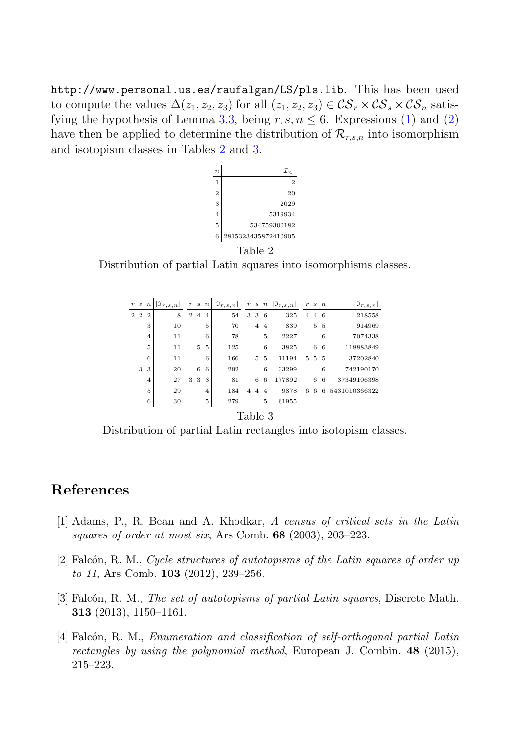http://www.personal.us.es/raufalgan/LS/pls.lib. This has been used to compute the values  $\Delta(z_1, z_2, z_3)$  for all  $(z_1, z_2, z_3) \in \mathcal{CS}_r \times \mathcal{CS}_s \times \mathcal{CS}_n$  satisfying the hypothesis of Lemma 3.3, being  $r, s, n \leq 6$ . Expressions (1) and (2) have then be applied to determine the distribution of  $\mathcal{R}_{r,s,n}$  into isomorphism and isotopism classes in Tables 2 and 3.



Table 2

Distribution of partial Latin squares into isomorphisms classes.

|         | r s    | $n\mid$        | $ \mathfrak{I}_{r,s,n} $ |   |                | r s n          | $ \mathfrak{I}_{r,s,n} $ |                |                | r s n          | $  \mathfrak{I}_{r,s,n}  $ |   | r s n |    | $ \mathfrak{I}_{r,s,n} $ |
|---------|--------|----------------|--------------------------|---|----------------|----------------|--------------------------|----------------|----------------|----------------|----------------------------|---|-------|----|--------------------------|
|         | $2\,2$ | $\overline{2}$ | 8                        | 2 | $\overline{4}$ | $\overline{4}$ | 54                       |                | 3 3            | 6              | 325                        | 4 |       | 46 | 218558                   |
|         |        | 3              | 10                       |   |                | 5              | 70                       |                | $\overline{4}$ | $\overline{4}$ | 839                        |   | 5     | 5  | 914969                   |
|         |        | $\overline{4}$ | 11                       |   |                | 6              | 78                       |                |                | 5              | 2227                       |   |       | 6  | 7074338                  |
|         |        | 5              | 11                       |   | 5              | -5             | 125                      |                |                | 6              | 3825                       |   | 6     | 6  | 118883849                |
|         |        | 6              | 11                       |   |                | 6              | 166                      |                | 5              | 5              | 11194                      |   | 5 5   | -5 | 37202840                 |
|         | 3      | 3              | 20                       |   | 6              | 6              | 292                      |                |                | 6              | 33299                      |   |       | 6  | 742190170                |
|         |        | $\overline{4}$ | 27                       |   | 3 3            | 3              | 81                       |                | 6              | 6              | 177892                     |   | 6     | 6  | 37349106398              |
|         |        | 5              | 29                       |   |                | $\overline{4}$ | 184                      | $\overline{4}$ | $\overline{4}$ | $\overline{4}$ | 9878                       | 6 | 6     | 6  | 5431010366322            |
|         |        | 6              | 30                       |   |                | 5              | 279                      |                |                | 5              | 61955                      |   |       |    |                          |
| 'able 3 |        |                |                          |   |                |                |                          |                |                |                |                            |   |       |    |                          |

Distribution of partial Latin rectangles into isotopism classes.

## **References**

- [1] Adams, P., R. Bean and A. Khodkar, *A census of critical sets in the Latin squares of order at most six*, Ars Comb. **68** (2003), 203–223.
- [2] Falc´on, R. M., *Cycle structures of autotopisms of the Latin squares of order up to 11*, Ars Comb. **103** (2012), 239–256.
- [3] Falcón, R. M., *The set of autotopisms of partial Latin squares*, Discrete Math. **313** (2013), 1150–1161.
- [4] Falc´on, R. M., *Enumeration and classification of self-orthogonal partial Latin rectangles by using the polynomial method*, European J. Combin. **48** (2015), 215–223.